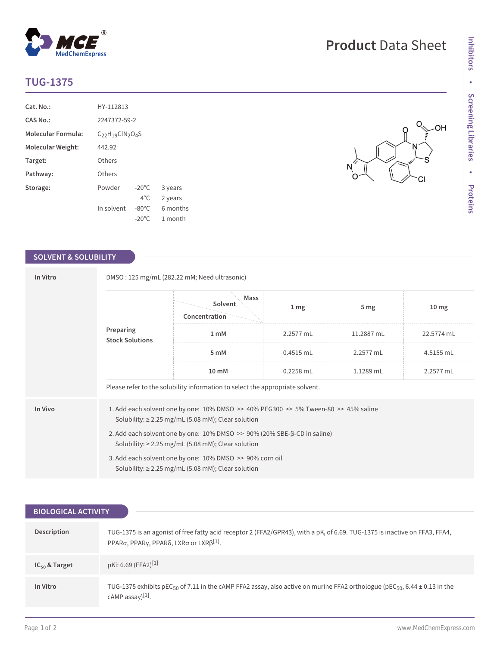## **TUG-1375**

| $Cat. No.$ :              | HY-112813                   |                 |          |  |  |
|---------------------------|-----------------------------|-----------------|----------|--|--|
| <b>CAS No.:</b>           | 2247372-59-2                |                 |          |  |  |
| <b>Molecular Formula:</b> | $C_{22}H_{19}CIN_{2}O_{4}S$ |                 |          |  |  |
| Molecular Weight:         | 442.92                      |                 |          |  |  |
| Target:                   | Others                      |                 |          |  |  |
| Pathway:                  | Others                      |                 |          |  |  |
| Storage:                  | Powder                      | $-20^{\circ}$ C | 3 years  |  |  |
|                           |                             | $4^{\circ}$ C.  | 2 years  |  |  |
|                           | In solvent                  | $-80^{\circ}$ C | 6 months |  |  |
|                           |                             | $-20^{\circ}$ C | 1 month  |  |  |

 $^{\circledR}$ 

MedChemExpress

## **SOLVENT & SOLUBILITY**

| In Vitro                            | DMSO: 125 mg/mL (282.22 mM; Need ultrasonic)                                                                                                                  |                                  |                  |                 |                  |  |  |
|-------------------------------------|---------------------------------------------------------------------------------------------------------------------------------------------------------------|----------------------------------|------------------|-----------------|------------------|--|--|
| Preparing<br><b>Stock Solutions</b> |                                                                                                                                                               | Mass<br>Solvent<br>Concentration | $1 \, \text{mg}$ | 5 <sub>mg</sub> | 10 <sub>mg</sub> |  |  |
|                                     |                                                                                                                                                               | 1 <sub>m</sub> M                 | 2.2577 mL        | 11.2887 mL      | 22.5774 mL       |  |  |
|                                     | 5 mM                                                                                                                                                          | $0.4515$ mL                      | 2.2577 mL        | 4.5155 mL       |                  |  |  |
|                                     | 10 mM                                                                                                                                                         | $0.2258$ mL                      | 1.1289 mL        | 2.2577 mL       |                  |  |  |
|                                     | Please refer to the solubility information to select the appropriate solvent.                                                                                 |                                  |                  |                 |                  |  |  |
| In Vivo                             | 1. Add each solvent one by one: $10\%$ DMSO $\geq$ 40% PEG300 $\geq$ 5% Tween-80 $\geq$ 45% saline<br>Solubility: $\geq$ 2.25 mg/mL (5.08 mM); Clear solution |                                  |                  |                 |                  |  |  |
|                                     | 2. Add each solvent one by one: 10% DMSO >> 90% (20% SBE-β-CD in saline)<br>Solubility: $\geq$ 2.25 mg/mL (5.08 mM); Clear solution                           |                                  |                  |                 |                  |  |  |
|                                     | 3. Add each solvent one by one: 10% DMSO >> 90% corn oil<br>Solubility: $\geq$ 2.25 mg/mL (5.08 mM); Clear solution                                           |                                  |                  |                 |                  |  |  |

| <b>BIOLOGICAL ACTIVITY</b> |                                                                                                                                                                      |  |  |  |
|----------------------------|----------------------------------------------------------------------------------------------------------------------------------------------------------------------|--|--|--|
| Description                | TUG-1375 is an agonist of free fatty acid receptor 2 (FFA2/GPR43), with a pK <sub>i</sub> of 6.69. TUG-1375 is inactive on FFA3, FFA4,                               |  |  |  |
|                            | PPARα, PPARγ, PPARδ, LXRα or LXRβ <sup>[1]</sup> .                                                                                                                   |  |  |  |
| $IC_{50}$ & Target         | pKi: 6.69 (FFA2)[1]                                                                                                                                                  |  |  |  |
| In Vitro                   | TUG-1375 exhibits pEC <sub>50</sub> of 7.11 in the cAMP FFA2 assay, also active on murine FFA2 orthologue (pEC <sub>50</sub> , 6.44 ± 0.13 in the<br>cAMP assay)[1]. |  |  |  |

 $O_{\sqrt{2}}$ 

Ö

 $-OH$